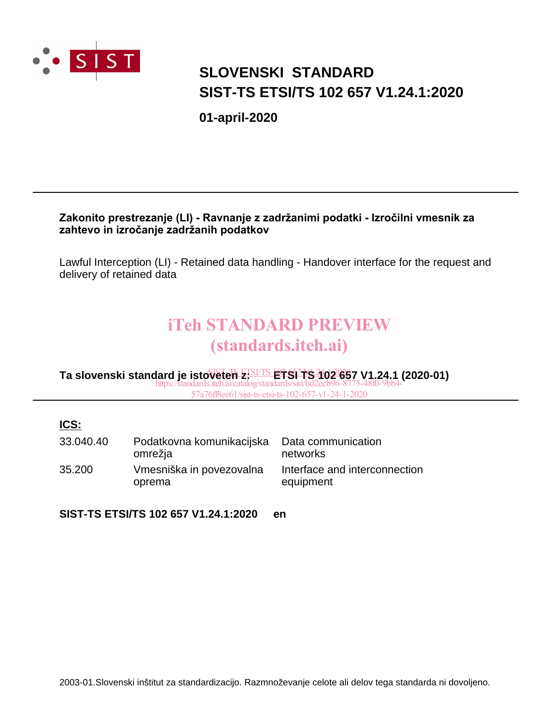

### **SLOVENSKI STANDARD SIST-TS ETSI/TS 102 657 V1.24.1:2020**

**01-april-2020**

#### **Zakonito prestrezanje (LI) - Ravnanje z zadržanimi podatki - Izročilni vmesnik za zahtevo in izročanje zadržanih podatkov**

Lawful Interception (LI) - Retained data handling - Handover interface for the request and delivery of retained data

# iTeh STANDARD PREVIEW (standards.iteh.ai)

**Ta slovenski standard je istoveten z: ETSI TS 102 657 V1.24.1 (2020-01)** SIST-TS ETSI/TS 102 657 V1.24.1:2020 https://standards.iteh.ai/catalog/standards/sist/bd2ecb96-8775-48f0-9bb4-

57a76ff8ee61/sist-ts-etsi-ts-102-657-v1-24-1-2020

#### **ICS:**

| 33.040.40 | Podatkovna komunikacijska Data communication<br>omrežja | networks                                   |
|-----------|---------------------------------------------------------|--------------------------------------------|
| 35.200    | Vmesniška in povezovalna<br>oprema                      | Interface and interconnection<br>equipment |

**SIST-TS ETSI/TS 102 657 V1.24.1:2020 en**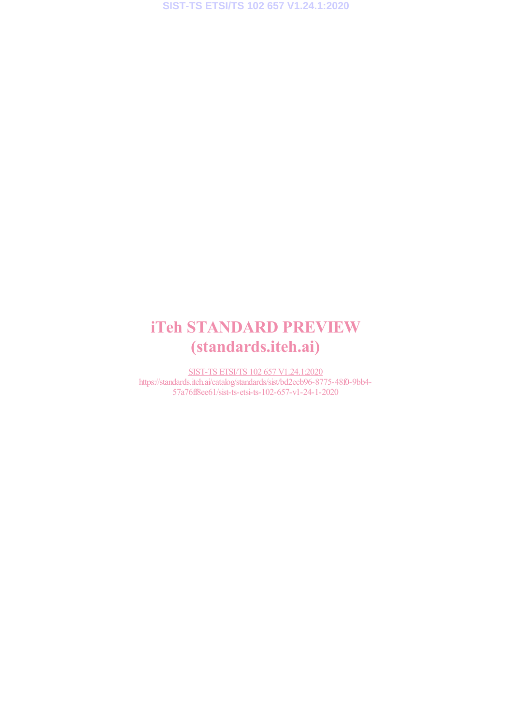# iTeh STANDARD PREVIEW (standards.iteh.ai)

SIST-TS ETSI/TS 102 657 V1.24.1:2020 https://standards.iteh.ai/catalog/standards/sist/bd2ecb96-8775-48f0-9bb4- 57a76ff8ee61/sist-ts-etsi-ts-102-657-v1-24-1-2020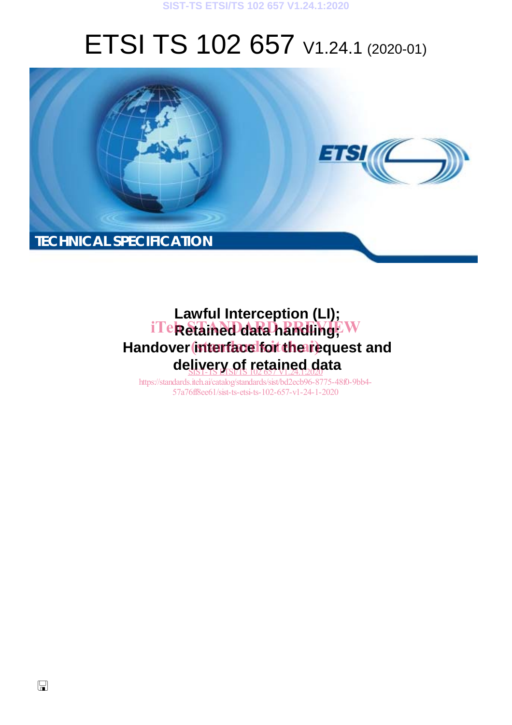#### **SIST-TS ETSI/TS 102 657 V1.24.1:2020**

# ETSI TS 102 657 V1.24.1 (2020-01)



# **Lawful Interception (LI);** iTe**k Stained data handling**; W Handover interface for the request and de<u>livery of retained d</u>ata

https://standards.iteh.ai/catalog/standards/sist/bd2ecb96-8775-48f0-9bb4- 57a76ff8ee61/sist-ts-etsi-ts-102-657-v1-24-1-2020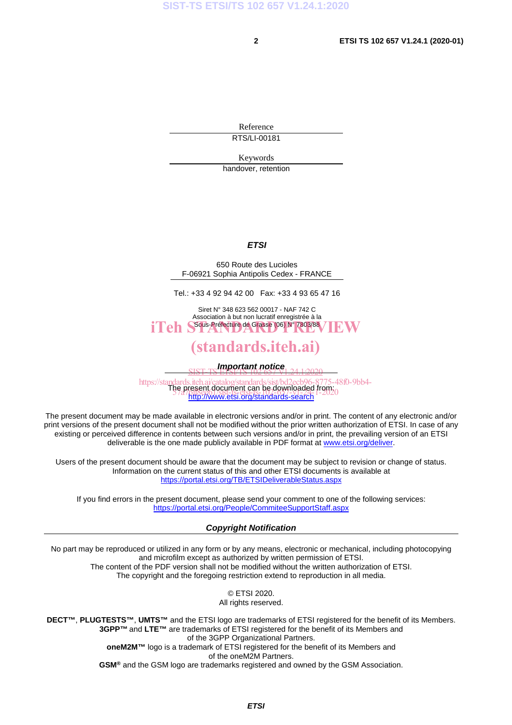Reference RTS/LI-00181

Keywords

handover, retention

#### *ETSI*

650 Route des Lucioles F-06921 Sophia Antipolis Cedex - FRANCE

Tel.: +33 4 92 94 42 00 Fax: +33 4 93 65 47 16

Siret N° 348 623 562 00017 - NAF 742 C Association à but non lucratif enregistrée à la iTeh S<sup>Sous-Préfecture</sup> de Grasse (06) N° 7803/88 / IEW

### (standards.iteh.ai)

*Important notice*  SIST-TS ETSI/TS 102 657 V1.24.1:2020

https://standards.iteh.ai/catalog/standards/sist/bd2ecb96-8775-48f0-9bb4-<br>The present document can be downloaded from: http://www.etsi.org/standards-search de present document can be downloaded hours<br>57a76ff8ee61/sist-ts-etsi-ts-102-02-258-256-1-2020

The present document may be made available in electronic versions and/or in print. The content of any electronic and/or print versions of the present document shall not be modified without the prior written authorization of ETSI. In case of any existing or perceived difference in contents between such versions and/or in print, the prevailing version of an ETSI deliverable is the one made publicly available in PDF format at www.etsi.org/deliver.

Users of the present document should be aware that the document may be subject to revision or change of status. Information on the current status of this and other ETSI documents is available at https://portal.etsi.org/TB/ETSIDeliverableStatus.aspx

If you find errors in the present document, please send your comment to one of the following services: https://portal.etsi.org/People/CommiteeSupportStaff.aspx

#### *Copyright Notification*

No part may be reproduced or utilized in any form or by any means, electronic or mechanical, including photocopying and microfilm except as authorized by written permission of ETSI. The content of the PDF version shall not be modified without the written authorization of ETSI. The copyright and the foregoing restriction extend to reproduction in all media.

> © ETSI 2020. All rights reserved.

**DECT™**, **PLUGTESTS™**, **UMTS™** and the ETSI logo are trademarks of ETSI registered for the benefit of its Members. **3GPP™** and **LTE™** are trademarks of ETSI registered for the benefit of its Members and of the 3GPP Organizational Partners. **oneM2M™** logo is a trademark of ETSI registered for the benefit of its Members and of the oneM2M Partners. **GSM®** and the GSM logo are trademarks registered and owned by the GSM Association.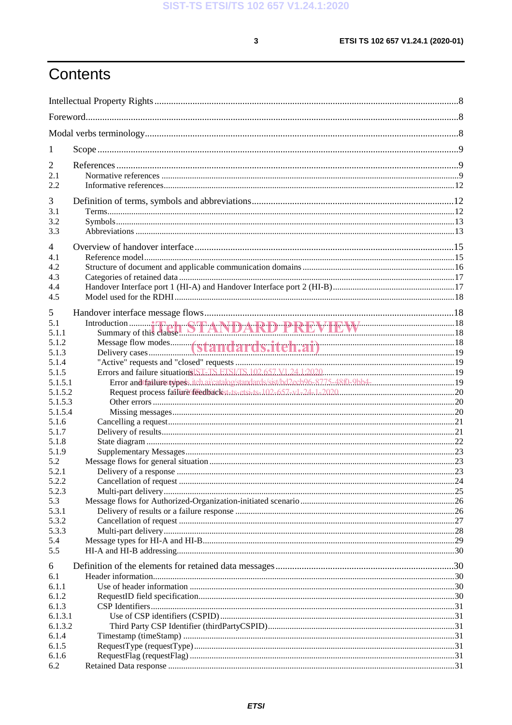$\mathbf{3}$ 

# Contents

| 1            |  |  |
|--------------|--|--|
| 2            |  |  |
| 2.1          |  |  |
| 2.2          |  |  |
|              |  |  |
| 3            |  |  |
| 3.1          |  |  |
| 3.2          |  |  |
| 3.3          |  |  |
| 4            |  |  |
| 4.1          |  |  |
| 4.2          |  |  |
| 4.3          |  |  |
| 4.4          |  |  |
| 4.5          |  |  |
| 5            |  |  |
| 5.1          |  |  |
| 5.1.1        |  |  |
| 5.1.2        |  |  |
| 5.1.3        |  |  |
| 5.1.4        |  |  |
| 5.1.5        |  |  |
| 5.1.5.1      |  |  |
| 5.1.5.2      |  |  |
| 5.1.5.3      |  |  |
| 5.1.5.4      |  |  |
| 5.1.6        |  |  |
| 5.1.7        |  |  |
| 5.1.8        |  |  |
| 5.1.9        |  |  |
| 5.2          |  |  |
| 5.2.1        |  |  |
| 5.2.2        |  |  |
| 5.2.3<br>5.3 |  |  |
| 5.3.1        |  |  |
| 5.3.2        |  |  |
| 5.3.3        |  |  |
| 5.4          |  |  |
| 5.5          |  |  |
| 6            |  |  |
| 6.1          |  |  |
| 6.1.1        |  |  |
| 6.1.2        |  |  |
| 6.1.3        |  |  |
| 6.1.3.1      |  |  |
| 6.1.3.2      |  |  |
| 6.1.4        |  |  |
| 6.1.5        |  |  |
| 6.1.6        |  |  |
| 6.2          |  |  |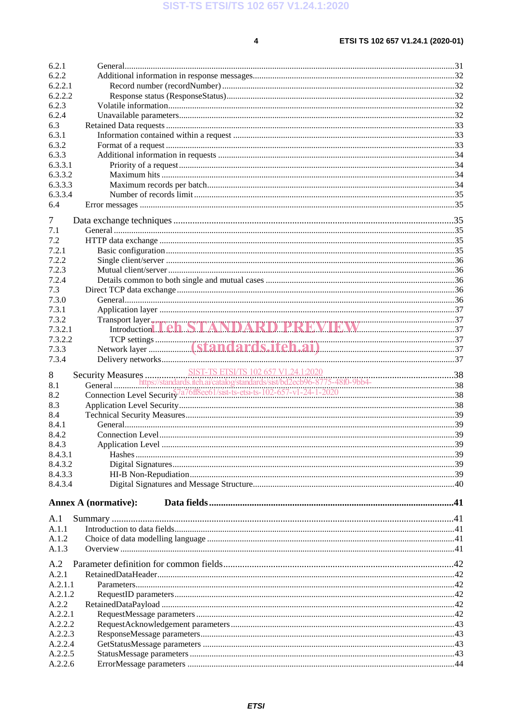$\overline{\mathbf{4}}$ 

| 6.2.1   |                                             |  |
|---------|---------------------------------------------|--|
| 6.2.2   |                                             |  |
| 6.2.2.1 |                                             |  |
| 6.2.2.2 |                                             |  |
| 6.2.3   |                                             |  |
| 6.2.4   |                                             |  |
| 6.3     |                                             |  |
| 6.3.1   |                                             |  |
| 6.3.2   |                                             |  |
| 6.3.3   |                                             |  |
| 6.3.3.1 |                                             |  |
| 6.3.3.2 |                                             |  |
| 6.3.3.3 |                                             |  |
| 6.3.3.4 |                                             |  |
| 6.4     |                                             |  |
| 7       |                                             |  |
| 7.1     |                                             |  |
| 7.2     |                                             |  |
| 7.2.1   |                                             |  |
| 7.2.2   |                                             |  |
| 7.2.3   |                                             |  |
| 7.2.4   |                                             |  |
| 7.3     |                                             |  |
| 7.3.0   |                                             |  |
| 7.3.1   |                                             |  |
| 7.3.2   |                                             |  |
| 7.3.2.1 | Transport layer June 10 STANDARD PREVIEW 57 |  |
| 7.3.2.2 |                                             |  |
| 7.3.3   |                                             |  |
| 7.3.4   |                                             |  |
| 8       |                                             |  |
| 8.1     |                                             |  |
| 8.2     |                                             |  |
| 8.3     |                                             |  |
| 8.4     |                                             |  |
| 8.4.1   |                                             |  |
| 8.4.2   |                                             |  |
| 8.4.3   |                                             |  |
| 8.4.3.1 |                                             |  |
| 8.4.3.2 |                                             |  |
| 8.4.3.3 |                                             |  |
| 8.4.3.4 |                                             |  |
|         |                                             |  |
|         | <b>Annex A (normative):</b>                 |  |
| A.1     |                                             |  |
| A.1.1   |                                             |  |
| A.1.2   |                                             |  |
| A.1.3   |                                             |  |
| A.2     |                                             |  |
| A.2.1   |                                             |  |
| A.2.1.1 |                                             |  |
| A.2.1.2 |                                             |  |
| A.2.2   |                                             |  |
| A.2.2.1 |                                             |  |
| A.2.2.2 |                                             |  |
| A.2.2.3 |                                             |  |
| A.2.2.4 |                                             |  |
| A.2.2.5 |                                             |  |
| A.2.2.6 |                                             |  |
|         |                                             |  |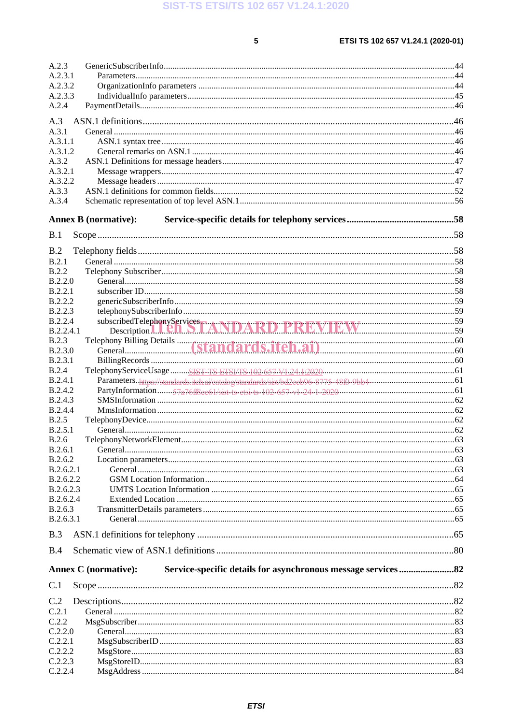SIST-TS ETSI/TS 102 657 V1.24.1:2020

 $\overline{\mathbf{5}}$ 

| A.2.3<br>A.2.3.1   |                                                                        |  |
|--------------------|------------------------------------------------------------------------|--|
| A.2.3.2            |                                                                        |  |
| A.2.3.3            |                                                                        |  |
| A.2.4              |                                                                        |  |
| A.3                |                                                                        |  |
| A.3.1              |                                                                        |  |
| A.3.1.1            |                                                                        |  |
| A.3.1.2            |                                                                        |  |
| A.3.2              |                                                                        |  |
| A.3.2.1            |                                                                        |  |
| A.3.2.2            |                                                                        |  |
|                    |                                                                        |  |
| A.3.3              |                                                                        |  |
| A.3.4              |                                                                        |  |
|                    | <b>Annex B</b> (normative):                                            |  |
|                    |                                                                        |  |
| B.1                |                                                                        |  |
|                    |                                                                        |  |
| B.2                |                                                                        |  |
| <b>B.2.1</b>       |                                                                        |  |
| <b>B.2.2</b>       |                                                                        |  |
| B.2.2.0            |                                                                        |  |
| B.2.2.1            |                                                                        |  |
| <b>B.2.2.2</b>     |                                                                        |  |
| B.2.2.3            |                                                                        |  |
| B.2.2.4            |                                                                        |  |
| <b>B.2.2.4.1</b>   | subscribedTelephonyServices<br>Description Let N STANDARD PREVIEW 2009 |  |
| B.2.3              |                                                                        |  |
| B.2.3.0            |                                                                        |  |
| <b>B.2.3.1</b>     |                                                                        |  |
| <b>B.2.4</b>       |                                                                        |  |
| <b>B.2.4.1</b>     |                                                                        |  |
| <b>B.2.4.2</b>     |                                                                        |  |
| <b>B.2.4.3</b>     |                                                                        |  |
| <b>B.2.4.4</b>     |                                                                        |  |
| B.2.5              |                                                                        |  |
| <b>B.2.5.1</b>     |                                                                        |  |
|                    |                                                                        |  |
| B.2.6              |                                                                        |  |
| B.2.6.1<br>B.2.6.2 |                                                                        |  |
|                    |                                                                        |  |
| B.2.6.2.1          |                                                                        |  |
| B.2.6.2.2          |                                                                        |  |
| B.2.6.2.3          |                                                                        |  |
| B.2.6.2.4          |                                                                        |  |
| B.2.6.3            |                                                                        |  |
| B.2.6.3.1          |                                                                        |  |
| B.3                |                                                                        |  |
|                    |                                                                        |  |
| B.4                |                                                                        |  |
|                    |                                                                        |  |
|                    | <b>Annex C</b> (normative):                                            |  |
| C.1                |                                                                        |  |
|                    |                                                                        |  |
| C.2                |                                                                        |  |
| C.2.1              |                                                                        |  |
| C.2.2              |                                                                        |  |
| C.2.2.0            |                                                                        |  |
| C.2.2.1            |                                                                        |  |
| C.2.2.2            |                                                                        |  |
| C.2.2.3            |                                                                        |  |
| C.2.2.4            |                                                                        |  |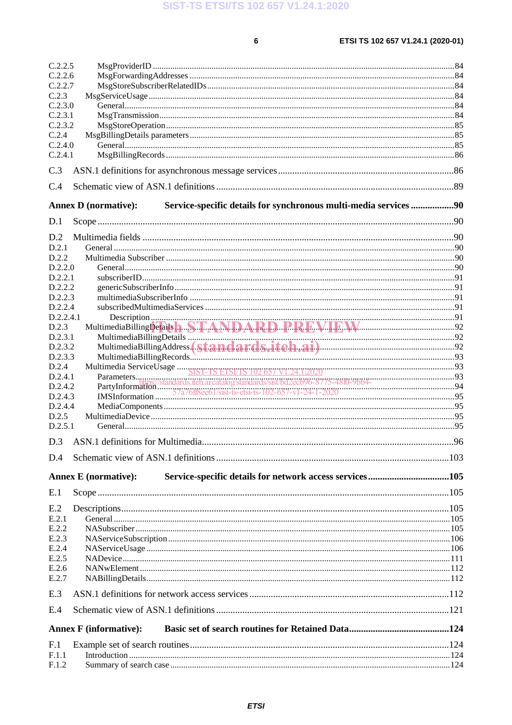$\bf 6$ 

| C.2.2.5   |                                                                                                 |     |
|-----------|-------------------------------------------------------------------------------------------------|-----|
| C.2.2.6   |                                                                                                 |     |
| C.2.2.7   |                                                                                                 |     |
| C.2.3     |                                                                                                 |     |
| C.2.3.0   |                                                                                                 |     |
| C.2.3.1   |                                                                                                 |     |
| C.2.3.2   |                                                                                                 |     |
| C.2.4     |                                                                                                 |     |
| C.2.4.0   |                                                                                                 |     |
| C.2.4.1   |                                                                                                 |     |
| C.3       |                                                                                                 |     |
| C.4       |                                                                                                 |     |
|           | Service-specific details for synchronous multi-media services 90<br><b>Annex D</b> (normative): |     |
| D.1       |                                                                                                 |     |
| D.2       |                                                                                                 |     |
| D.2.1     |                                                                                                 |     |
| D.2.2     |                                                                                                 |     |
| D.2.2.0   |                                                                                                 |     |
| D.2.2.1   |                                                                                                 |     |
| D.2.2.2   |                                                                                                 |     |
| D.2.2.3   |                                                                                                 |     |
| D.2.2.4   |                                                                                                 |     |
| D.2.2.4.1 |                                                                                                 |     |
| D.2.3     |                                                                                                 |     |
| D.2.3.1   |                                                                                                 |     |
| D.2.3.2   |                                                                                                 |     |
| D.2.3.3   |                                                                                                 |     |
| D.2.4     |                                                                                                 |     |
| D.2.4.1   |                                                                                                 |     |
| D.2.4.2   |                                                                                                 |     |
| D.2.4.3   |                                                                                                 |     |
| D.2.4.4   |                                                                                                 |     |
| D.2.5     |                                                                                                 |     |
| D.2.5.1   |                                                                                                 |     |
|           | D.3 ASN.1 definitions for Multimedia                                                            | .96 |
| D.4       |                                                                                                 |     |
|           |                                                                                                 |     |
|           | <b>Annex E</b> (normative):                                                                     |     |
| E.1       |                                                                                                 |     |
| E.2       |                                                                                                 |     |
| E.2.1     |                                                                                                 |     |
| E.2.2     |                                                                                                 |     |
| E.2.3     |                                                                                                 |     |
| E.2.4     |                                                                                                 |     |
| E.2.5     |                                                                                                 |     |
| E.2.6     |                                                                                                 |     |
| E.2.7     |                                                                                                 |     |
| E.3       |                                                                                                 |     |
| E.4       |                                                                                                 |     |
|           | <b>Annex F</b> (informative):                                                                   |     |
| F.1       |                                                                                                 |     |
| F.1.1     |                                                                                                 |     |
| F.1.2     |                                                                                                 |     |
|           |                                                                                                 |     |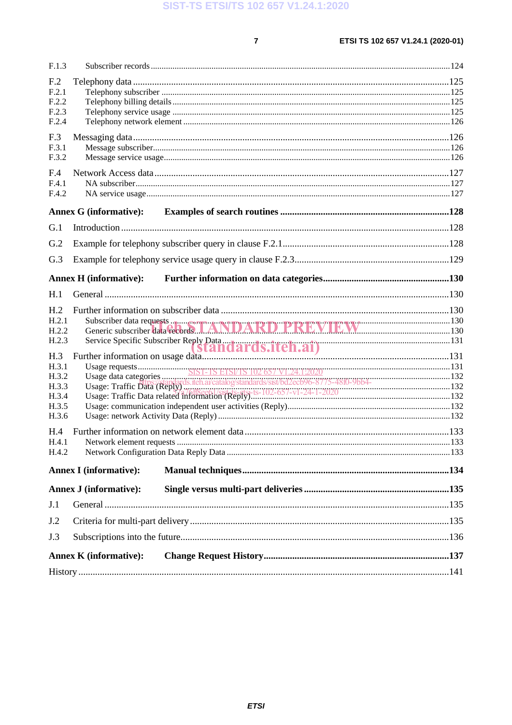$\overline{7}$ 

| F.1.3                                                      |                               |  |
|------------------------------------------------------------|-------------------------------|--|
| F <sub>.2</sub><br>F.2.1<br>F.2.2<br>F.2.3<br>F.2.4        |                               |  |
| F.3<br>F.3.1<br>F.3.2                                      |                               |  |
| F.4<br>F.4.1<br>F.4.2                                      |                               |  |
|                                                            | <b>Annex G (informative):</b> |  |
| G.1                                                        |                               |  |
| G.2                                                        |                               |  |
| G.3                                                        |                               |  |
|                                                            | <b>Annex H</b> (informative): |  |
| H.1                                                        |                               |  |
| H <sub>.2</sub><br>H.2.1<br>H.2.2<br>H.2.3<br>H.3<br>H.3.1 |                               |  |
| H.3.2<br>H.3.3                                             |                               |  |
| H.3.4                                                      |                               |  |
| H.3.5<br>H.3.6                                             |                               |  |
| H.4<br>H.4.1<br>H.4.2                                      |                               |  |
|                                                            | <b>Annex I</b> (informative): |  |
|                                                            | <b>Annex J (informative):</b> |  |
| J.1                                                        |                               |  |
| J.2                                                        |                               |  |
| J.3                                                        |                               |  |
|                                                            | <b>Annex K</b> (informative): |  |
|                                                            |                               |  |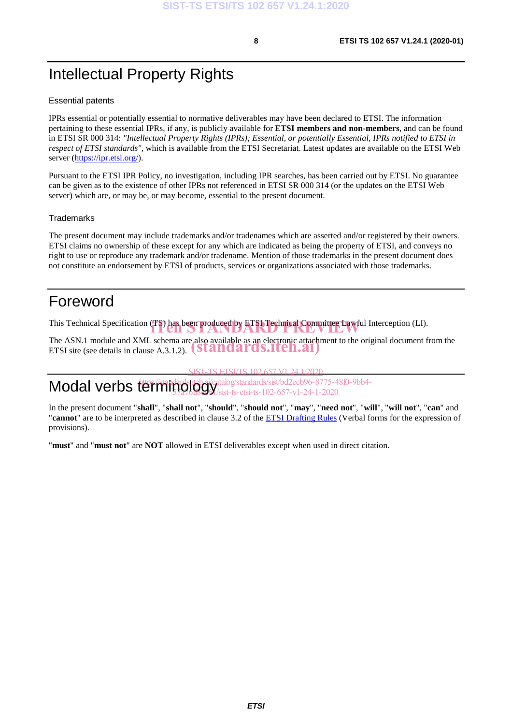### Intellectual Property Rights

#### Essential patents

IPRs essential or potentially essential to normative deliverables may have been declared to ETSI. The information pertaining to these essential IPRs, if any, is publicly available for **ETSI members and non-members**, and can be found in ETSI SR 000 314: *"Intellectual Property Rights (IPRs); Essential, or potentially Essential, IPRs notified to ETSI in respect of ETSI standards"*, which is available from the ETSI Secretariat. Latest updates are available on the ETSI Web server (https://ipr.etsi.org/).

Pursuant to the ETSI IPR Policy, no investigation, including IPR searches, has been carried out by ETSI. No guarantee can be given as to the existence of other IPRs not referenced in ETSI SR 000 314 (or the updates on the ETSI Web server) which are, or may be, or may become, essential to the present document.

#### **Trademarks**

The present document may include trademarks and/or tradenames which are asserted and/or registered by their owners. ETSI claims no ownership of these except for any which are indicated as being the property of ETSI, and conveys no right to use or reproduce any trademark and/or tradename. Mention of those trademarks in the present document does not constitute an endorsement by ETSI of products, services or organizations associated with those trademarks.

## Foreword

This Technical Specification (TS) has been produced by ETSI Technical Committee Lawful Interception (LI).

The ASN.1 module and XML schema are also available as an electronic attachment to the original document from the The ASN.1 module and XML schema are also available as an electronic attachn<br>ETSI site (see details in clause A.3.1.2). **(Standards.iteh.ai**)

SIST-TS ETSI/TS 102 657 V1 24 1:2020

Modal verbs terminology<sup>t</sup>s https://standards.jiteh.ai/catalog/standards/sist/bd2ecb96-8775-48f0-9bb4-57a76ff8ee6X/sist-ts-etsi-ts-102-657-v1-24-1-2020

In the present document "**shall**", "**shall not**", "**should**", "**should not**", "**may**", "**need not**", "**will**", "**will not**", "**can**" and "**cannot**" are to be interpreted as described in clause 3.2 of the ETSI Drafting Rules (Verbal forms for the expression of provisions).

"**must**" and "**must not**" are **NOT** allowed in ETSI deliverables except when used in direct citation.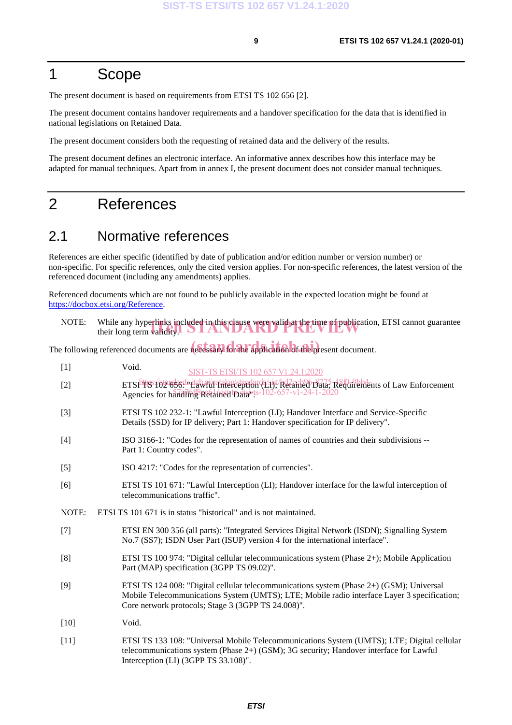### 1 Scope

The present document is based on requirements from ETSI TS 102 656 [2].

The present document contains handover requirements and a handover specification for the data that is identified in national legislations on Retained Data.

The present document considers both the requesting of retained data and the delivery of the results.

The present document defines an electronic interface. An informative annex describes how this interface may be adapted for manual techniques. Apart from in annex I, the present document does not consider manual techniques.

### 2 References

### 2.1 Normative references

References are either specific (identified by date of publication and/or edition number or version number) or non-specific. For specific references, only the cited version applies. For non-specific references, the latest version of the referenced document (including any amendments) applies.

Referenced documents which are not found to be publicly available in the expected location might be found at https://docbox.etsi.org/Reference.

| NOTE: | While any hyperlinks included in this clause were valid at the time of publication, ETSI cannot guarantee their long term validity. |
|-------|-------------------------------------------------------------------------------------------------------------------------------------|
|       |                                                                                                                                     |

The following referenced documents are necessary for the application of the present document.

| $[1]$  | Void.<br>SIST-TS ETSI/TS 102 657 V1.24.1:2020                                                                                                                                                                                                 |
|--------|-----------------------------------------------------------------------------------------------------------------------------------------------------------------------------------------------------------------------------------------------|
| $[2]$  | ETSITS 102 656. Tawful Therception (11); Retained Data, Requirements of Law Enforcement<br>Agencies for handling Retained Datai ts-102-657-v1-24-1-2020                                                                                       |
| $[3]$  | ETSI TS 102 232-1: "Lawful Interception (LI); Handover Interface and Service-Specific<br>Details (SSD) for IP delivery; Part 1: Handover specification for IP delivery".                                                                      |
| $[4]$  | ISO 3166-1: "Codes for the representation of names of countries and their subdivisions --<br>Part 1: Country codes".                                                                                                                          |
| $[5]$  | ISO 4217: "Codes for the representation of currencies".                                                                                                                                                                                       |
| [6]    | ETSI TS 101 671: "Lawful Interception (LI); Handover interface for the lawful interception of<br>telecommunications traffic".                                                                                                                 |
| NOTE:  | ETSI TS 101 671 is in status "historical" and is not maintained.                                                                                                                                                                              |
| $[7]$  | ETSI EN 300 356 (all parts): "Integrated Services Digital Network (ISDN); Signalling System<br>No.7 (SS7); ISDN User Part (ISUP) version 4 for the international interface".                                                                  |
| [8]    | ETSI TS 100 974: "Digital cellular telecommunications system (Phase 2+); Mobile Application<br>Part (MAP) specification (3GPP TS 09.02)".                                                                                                     |
| [9]    | ETSI TS 124 008: "Digital cellular telecommunications system (Phase 2+) (GSM); Universal<br>Mobile Telecommunications System (UMTS); LTE; Mobile radio interface Layer 3 specification;<br>Core network protocols; Stage 3 (3GPP TS 24.008)". |
| $[10]$ | Void.                                                                                                                                                                                                                                         |
| $[11]$ | ETSI TS 133 108: "Universal Mobile Telecommunications System (UMTS); LTE; Digital cellular<br>telecommunications system (Phase $2+$ ) (GSM); 3G security; Handover interface for Lawful                                                       |

Interception (LI) (3GPP TS 33.108)".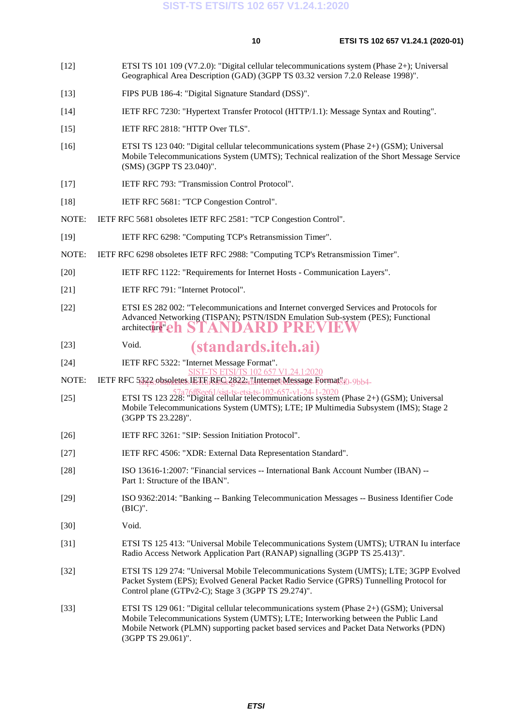- [12] ETSI TS 101 109 (V7.2.0): "Digital cellular telecommunications system (Phase 2+); Universal Geographical Area Description (GAD) (3GPP TS 03.32 version 7.2.0 Release 1998)".
- [13] FIPS PUB 186-4: "Digital Signature Standard (DSS)".
- [14] IETF RFC 7230: "Hypertext Transfer Protocol (HTTP/1.1): Message Syntax and Routing".
- [15] IETF RFC 2818: "HTTP Over TLS".
- [16] ETSI TS 123 040: "Digital cellular telecommunications system (Phase 2+) (GSM); Universal Mobile Telecommunications System (UMTS); Technical realization of the Short Message Service (SMS) (3GPP TS 23.040)".
- [17] IETF RFC 793: "Transmission Control Protocol".
- [18] IETF RFC 5681: "TCP Congestion Control".
- NOTE: IETF RFC 5681 obsoletes IETF RFC 2581: "TCP Congestion Control".
- [19] IETF RFC 6298: "Computing TCP's Retransmission Timer".
- NOTE: IETF RFC 6298 obsoletes IETF RFC 2988: "Computing TCP's Retransmission Timer".
- [20] IETF RFC 1122: "Requirements for Internet Hosts Communication Layers".
- [21] **IETF RFC 791: "Internet Protocol".**
- [22] ETSI ES 282 002: "Telecommunications and Internet converged Services and Protocols for Advanced Networking (TISPAN); PSTN/ISDN Emulation Sub-system (PES); Functional architecture"eh STANDARD PREVIEW
- [23] **Void.** (standards.iteh.ai)
- [24] IETF RFC 5322: "Internet Message Format".
- V1.24,1:2020
- NOTE: IETF RFC 5322 obsoletes IETE RFQ*2832 i* Jhternet Message Format 310-9bb4-
- ETSI TS 123 228: "Digital cellular telecommunications system (Phase 2+) (GSM); Universal [25] Mobile Telecommunications System (UMTS); LTE; IP Multimedia Subsystem (IMS); Stage 2 (3GPP TS 23.228)".
- [26] IETF RFC 3261: "SIP: Session Initiation Protocol".
- [27] IETF RFC 4506: "XDR: External Data Representation Standard".
- [28] ISO 13616-1:2007: "Financial services -- International Bank Account Number (IBAN) -- Part 1: Structure of the IBAN".
- [29] ISO 9362:2014: "Banking -- Banking Telecommunication Messages -- Business Identifier Code (BIC)".
- [30] Void.
- [31] ETSI TS 125 413: "Universal Mobile Telecommunications System (UMTS); UTRAN Iu interface Radio Access Network Application Part (RANAP) signalling (3GPP TS 25.413)".
- [32] ETSI TS 129 274: "Universal Mobile Telecommunications System (UMTS); LTE; 3GPP Evolved Packet System (EPS); Evolved General Packet Radio Service (GPRS) Tunnelling Protocol for Control plane (GTPv2-C); Stage 3 (3GPP TS 29.274)".
- [33] ETSI TS 129 061: "Digital cellular telecommunications system (Phase 2+) (GSM); Universal Mobile Telecommunications System (UMTS); LTE; Interworking between the Public Land Mobile Network (PLMN) supporting packet based services and Packet Data Networks (PDN) (3GPP TS 29.061)".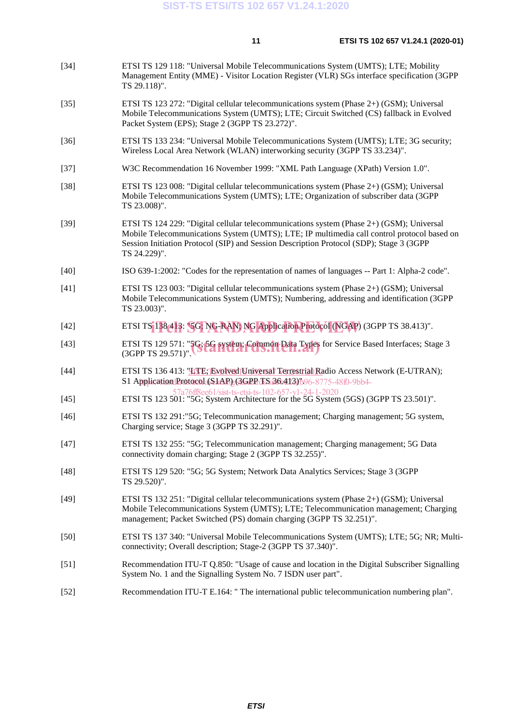- [34] ETSI TS 129 118: "Universal Mobile Telecommunications System (UMTS); LTE; Mobility Management Entity (MME) - Visitor Location Register (VLR) SGs interface specification (3GPP TS 29.118)".
- [35] ETSI TS 123 272: "Digital cellular telecommunications system (Phase 2+) (GSM); Universal Mobile Telecommunications System (UMTS); LTE; Circuit Switched (CS) fallback in Evolved Packet System (EPS); Stage 2 (3GPP TS 23.272)".
- [36] ETSI TS 133 234: "Universal Mobile Telecommunications System (UMTS); LTE; 3G security; Wireless Local Area Network (WLAN) interworking security (3GPP TS 33.234)".
- [37] W3C Recommendation 16 November 1999: "XML Path Language (XPath) Version 1.0".
- [38] ETSI TS 123 008: "Digital cellular telecommunications system (Phase 2+) (GSM); Universal Mobile Telecommunications System (UMTS); LTE; Organization of subscriber data (3GPP TS 23.008)".
- [39] ETSI TS 124 229: "Digital cellular telecommunications system (Phase 2+) (GSM); Universal Mobile Telecommunications System (UMTS); LTE; IP multimedia call control protocol based on Session Initiation Protocol (SIP) and Session Description Protocol (SDP); Stage 3 (3GPP TS 24.229)".
- [40] ISO 639-1:2002: "Codes for the representation of names of languages -- Part 1: Alpha-2 code".
- [41] ETSI TS 123 003: "Digital cellular telecommunications system (Phase 2+) (GSM); Universal Mobile Telecommunications System (UMTS); Numbering, addressing and identification (3GPP TS 23.003)".
- [42] ETSI TS 138413: SG; NG-RAN; NG Application Protocol (NGAP) (3GPP TS 38.413)".
- [43] ETSI TS 129 571: "5G; 5G system; Common Data Types for Service Based Interfaces; Stage 3 (3GPP TS 29.571)" (3GPP TS 29.571)".
- [44] ETSI TS 136 413: "LITE; Evolved Universal Terrestrial Radio Access Network (E-UTRAN); S1 Application:Protocola(S1AP): (3GPPrTSS:36A123): b96-8775-48f0-9bb4-
- 57a76ff8ee61/sist-ts-etsi-ts-102-657-v1-24-1-2020<br> **ETSI TS 123 501: "5G; System Architecture for the 5G System (5GS) (3GPP TS 23.501)".**
- [46] ETSI TS 132 291:"5G; Telecommunication management; Charging management; 5G system, Charging service; Stage 3 (3GPP TS 32.291)".
- [47] ETSI TS 132 255: "5G; Telecommunication management; Charging management; 5G Data connectivity domain charging; Stage 2 (3GPP TS 32.255)".
- [48] ETSI TS 129 520: "5G; 5G System; Network Data Analytics Services; Stage 3 (3GPP TS 29.520)".
- [49] ETSI TS 132 251: "Digital cellular telecommunications system (Phase 2+) (GSM); Universal Mobile Telecommunications System (UMTS); LTE; Telecommunication management; Charging management; Packet Switched (PS) domain charging (3GPP TS 32.251)".
- [50] ETSI TS 137 340: "Universal Mobile Telecommunications System (UMTS); LTE; 5G; NR; Multiconnectivity; Overall description; Stage-2 (3GPP TS 37.340)".
- [51] Recommendation ITU-T Q.850: "Usage of cause and location in the Digital Subscriber Signalling System No. 1 and the Signalling System No. 7 ISDN user part".
- [52] Recommendation ITU-T E.164: " The international public telecommunication numbering plan".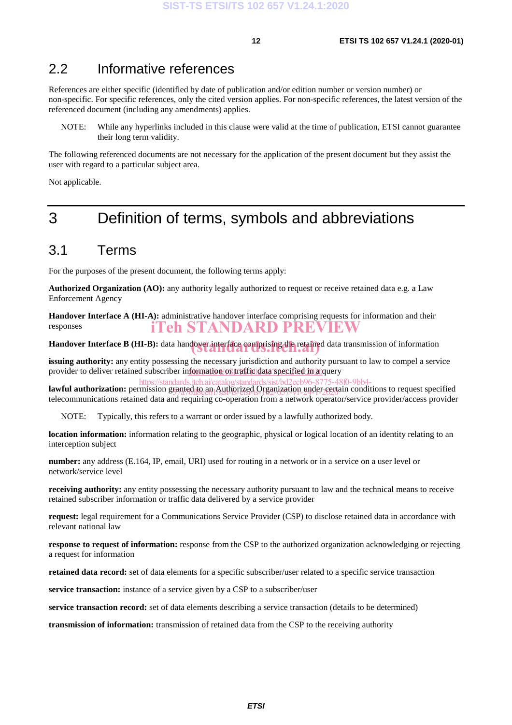### 2.2 Informative references

References are either specific (identified by date of publication and/or edition number or version number) or non-specific. For specific references, only the cited version applies. For non-specific references, the latest version of the referenced document (including any amendments) applies.

NOTE: While any hyperlinks included in this clause were valid at the time of publication, ETSI cannot guarantee their long term validity.

The following referenced documents are not necessary for the application of the present document but they assist the user with regard to a particular subject area.

Not applicable.

## 3 Definition of terms, symbols and abbreviations

### 3.1 Terms

For the purposes of the present document, the following terms apply:

**Authorized Organization (AO):** any authority legally authorized to request or receive retained data e.g. a Law Enforcement Agency

**Handover Interface A (HI-A):** administrative handover interface comprising requests for information and their responses iTeh STANDARD PREVIEW

Handover Interface B (HI-B): data handover interface comprising the retained data transmission of information

**issuing authority:** any entity possessing the necessary jurisdiction and authority pursuant to law to compel a service provider to deliver retained subscriber information or traffic data specified in a query

lawful authorization: permission granted to an Authorized Organization under certain conditions to request specified telecommunications retained data and requiring co-operation from a network operator/service provider/access provider https://standards.iteh.ai/catalog/standards/sist/bd2ecb96-8775-48f0-9bb4-

NOTE: Typically, this refers to a warrant or order issued by a lawfully authorized body.

**location information:** information relating to the geographic, physical or logical location of an identity relating to an interception subject

**number:** any address (E.164, IP, email, URI) used for routing in a network or in a service on a user level or network/service level

**receiving authority:** any entity possessing the necessary authority pursuant to law and the technical means to receive retained subscriber information or traffic data delivered by a service provider

**request:** legal requirement for a Communications Service Provider (CSP) to disclose retained data in accordance with relevant national law

**response to request of information:** response from the CSP to the authorized organization acknowledging or rejecting a request for information

**retained data record:** set of data elements for a specific subscriber/user related to a specific service transaction

**service transaction:** instance of a service given by a CSP to a subscriber/user

**service transaction record:** set of data elements describing a service transaction (details to be determined)

**transmission of information:** transmission of retained data from the CSP to the receiving authority